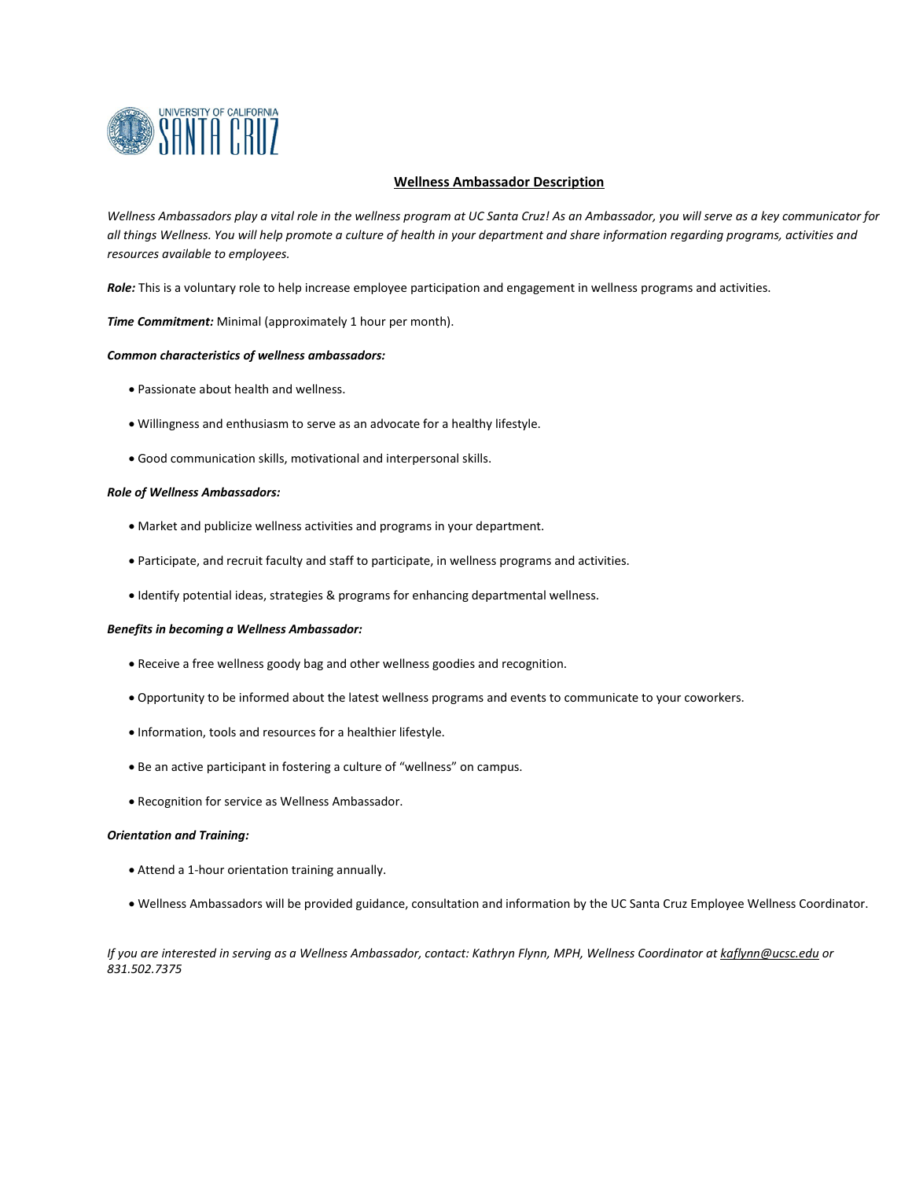

### **Wellness Ambassador Description**

Wellness Ambassadors play a vital role  $\mathbb B$  the Faculty and Staff Wellness Program at UC Santa Cruz! As an Ambassador, you will serve *as a key communicator for all things Wellness. You will help promote a culture of health in your department and share information regarding activities and resources available to faculty and staff.* 

*Role:*  $\uparrow$  luntary role to help engage faculty and staff participation in wellness programs, events and activities.

*Time Commitment:* Minimal (approximately 1 hour per month).

#### *Common characteristics of wellness ambassadors:*

- Passionate about health and wellness.
- Willingness and enthusiasm to serve as an advocate for a healthy lifestyle.
- Good communication skills, motivational and interpersonal skills.

### *Role of Wellness Ambassadors:*

- Communicate wellness-related activities and programs in your department.
- Participate, and help connect faculty and staff with wellness resources.
- Identify potential ideas, strategies & programs for enhancing departmental wellness.

### *Benefits in becoming a Wellness Ambassador:*

- Receive a free wellness goody bag and other wellness goodies and recognition.
- Opportunity to be informed about the latest wellness programs and events to communicate to your coworkers.
- Information, tools and resources for a healthier lifestyle.
- Be an active participant in fostering a culture of "wellness" on campus.
- Recognition for service as Wellness Ambassador.

#### *Orientation and Training:*

- Attend a 1-hour orientation training annually.
- Wellness Ambassadors will be provided guidance, consultation and information by the UC Santa Cruz Employee Wellness Coordinator.

*If you are interested in serving as a Wellness Ambassador, contact: Cindy Delgado at cadelgad@ucsc.edu or 831.459.[1787](mailto:kaflynn@ucsc.edu)*